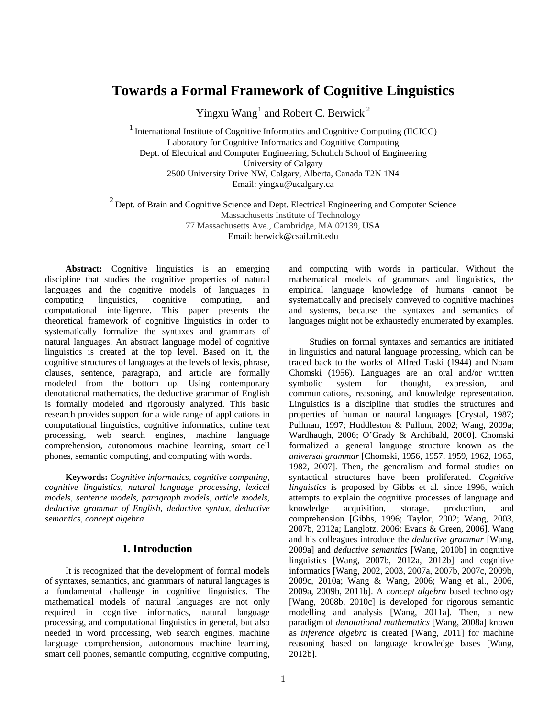# **Towards a Formal Framework of Cognitive Linguistics**

Yingxu Wang<sup>1</sup> and Robert C. Berwick<sup>2</sup>

1 International Institute of Cognitive Informatics and Cognitive Computing (IICICC) Laboratory for Cognitive Informatics and Cognitive Computing Dept. of Electrical and Computer Engineering, Schulich School of Engineering University of Calgary 2500 University Drive NW, Calgary, Alberta, Canada T2N 1N4 Email: yingxu@ucalgary.ca

<sup>2</sup> Dept. of Brain and Cognitive Science and Dept. Electrical Engineering and Computer Science Massachusetts Institute of Technology 77 Massachusetts Ave., Cambridge, MA 02139, USA Email: berwick@csail.mit.edu

**Abstract:** Cognitive linguistics is an emerging discipline that studies the cognitive properties of natural languages and the cognitive models of languages in computing linguistics, cognitive computing, and computational intelligence. This paper presents the theoretical framework of cognitive linguistics in order to systematically formalize the syntaxes and grammars of natural languages. An abstract language model of cognitive linguistics is created at the top level. Based on it, the cognitive structures of languages at the levels of lexis, phrase, clauses, sentence, paragraph, and article are formally modeled from the bottom up. Using contemporary denotational mathematics, the deductive grammar of English is formally modeled and rigorously analyzed. This basic research provides support for a wide range of applications in computational linguistics, cognitive informatics, online text processing, web search engines, machine language comprehension, autonomous machine learning, smart cell phones, semantic computing, and computing with words.

**Keywords:** *Cognitive informatics, cognitive computing, cognitive linguistics, natural language processing, lexical models, sentence models, paragraph models, article models, deductive grammar of English, deductive syntax, deductive semantics, concept algebra* 

#### **1. Introduction**

It is recognized that the development of formal models of syntaxes, semantics, and grammars of natural languages is a fundamental challenge in cognitive linguistics. The mathematical models of natural languages are not only required in cognitive informatics, natural language processing, and computational linguistics in general, but also needed in word processing, web search engines, machine language comprehension, autonomous machine learning, smart cell phones, semantic computing, cognitive computing,

and computing with words in particular. Without the mathematical models of grammars and linguistics, the empirical language knowledge of humans cannot be systematically and precisely conveyed to cognitive machines and systems, because the syntaxes and semantics of languages might not be exhaustedly enumerated by examples.

Studies on formal syntaxes and semantics are initiated in linguistics and natural language processing, which can be traced back to the works of Alfred Taski (1944) and Noam Chomski (1956). Languages are an oral and/or written symbolic system for thought, expression, and communications, reasoning, and knowledge representation. Linguistics is a discipline that studies the structures and properties of human or natural languages [Crystal, 1987; Pullman, 1997; Huddleston & Pullum, 2002; Wang, 2009a; Wardhaugh, 2006; O'Grady & Archibald, 2000]. Chomski formalized a general language structure known as the *universal grammar* [Chomski, 1956, 1957, 1959, 1962, 1965, 1982, 2007]. Then, the generalism and formal studies on syntactical structures have been proliferated. *Cognitive linguistics* is proposed by Gibbs et al. since 1996, which attempts to explain the cognitive processes of language and knowledge acquisition, storage, production, and comprehension [Gibbs, 1996; Taylor, 2002; Wang, 2003, 2007b, 2012a; Langlotz, 2006; Evans & Green, 2006]. Wang and his colleagues introduce the *deductive grammar* [Wang, 2009a] and *deductive semantics* [Wang, 2010b] in cognitive linguistics [Wang, 2007b, 2012a, 2012b] and cognitive informatics [Wang, 2002, 2003, 2007a, 2007b, 2007c, 2009b, 2009c, 2010a; Wang & Wang, 2006; Wang et al., 2006, 2009a, 2009b, 2011b]. A *concept algebra* based technology [Wang, 2008b, 2010c] is developed for rigorous semantic modelling and analysis [Wang, 2011a]. Then, a new paradigm of *denotational mathematics* [Wang, 2008a] known as *inference algebra* is created [Wang, 2011] for machine reasoning based on language knowledge bases [Wang, 2012b].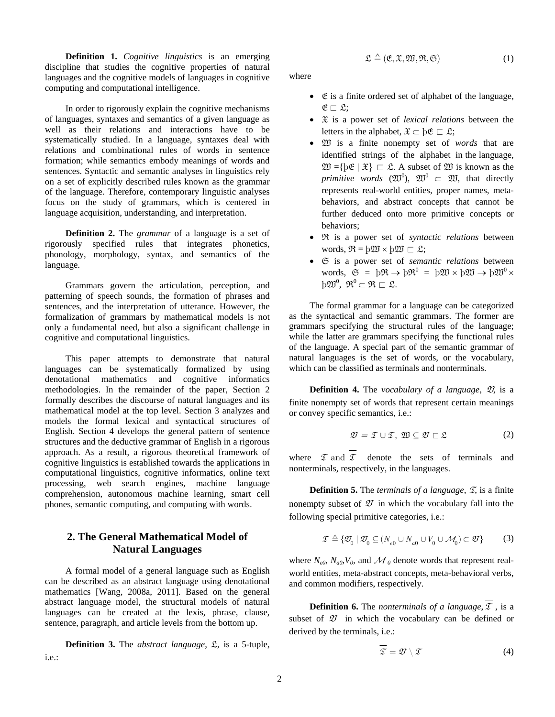**Definition 1.** *Cognitive linguistics* is an emerging discipline that studies the cognitive properties of natural languages and the cognitive models of languages in cognitive computing and computational intelligence.

In order to rigorously explain the cognitive mechanisms of languages, syntaxes and semantics of a given language as well as their relations and interactions have to be systematically studied. In a language, syntaxes deal with relations and combinational rules of words in sentence formation; while semantics embody meanings of words and sentences. Syntactic and semantic analyses in linguistics rely on a set of explicitly described rules known as the grammar of the language. Therefore, contemporary linguistic analyses focus on the study of grammars, which is centered in language acquisition, understanding, and interpretation.

**Definition 2.** The *grammar* of a language is a set of rigorously specified rules that integrates phonetics, phonology, morphology, syntax, and semantics of the language.

Grammars govern the articulation, perception, and patterning of speech sounds, the formation of phrases and sentences, and the interpretation of utterance. However, the formalization of grammars by mathematical models is not only a fundamental need, but also a significant challenge in cognitive and computational linguistics.

This paper attempts to demonstrate that natural languages can be systematically formalized by using denotational mathematics and cognitive informatics methodologies. In the remainder of the paper, Section 2 formally describes the discourse of natural languages and its mathematical model at the top level. Section 3 analyzes and models the formal lexical and syntactical structures of English. Section 4 develops the general pattern of sentence structures and the deductive grammar of English in a rigorous approach. As a result, a rigorous theoretical framework of cognitive linguistics is established towards the applications in computational linguistics, cognitive informatics, online text processing, web search engines, machine language comprehension, autonomous machine learning, smart cell phones, semantic computing, and computing with words.

# **2. The General Mathematical Model of Natural Languages**

A formal model of a general language such as English can be described as an abstract language using denotational mathematics [Wang, 2008a, 2011]. Based on the general abstract language model, the structural models of natural languages can be created at the lexis, phrase, clause, sentence, paragraph, and article levels from the bottom up.

**Definition 3.** The *abstract language*, L, is a 5-tuple, i.e.:

$$
\mathfrak{L} \triangleq (\mathfrak{E}, \mathfrak{X}, \mathfrak{W}, \mathfrak{R}, \mathfrak{S}) \tag{1}
$$

where

- $\bullet$   $\&$  is a finite ordered set of alphabet of the language,  $E \sqsubset \mathfrak{L}$ :
- X is a power set of *lexical relations* between the letters in the alphabet,  $\mathfrak{X} \subset \mathrm{b}\mathfrak{E} \subset \mathfrak{L}$ ;
- W is a finite nonempty set of *words* that are identified strings of the alphabet in the language,  $\mathfrak{W} = \{ \flat \mathfrak{E} \mid \mathfrak{X} \} \subset \mathfrak{L}$ . A subset of  $\mathfrak{W}$  is known as the *primitive words*  $(\mathfrak{W}^0)$ ,  $\mathfrak{W}^0$   $\subset$   $\mathfrak{W}$ , that directly represents real-world entities, proper names, metabehaviors, and abstract concepts that cannot be further deduced onto more primitive concepts or behaviors;
- R is a power set of *syntactic relations* between words,  $\mathfrak{R} = \mathfrak{b} \mathfrak{W} \times \mathfrak{b} \mathfrak{W} \sqsubset \mathfrak{L}$ ;
- S is a power set of *semantic relations* between words,  $\mathfrak{S} = \mathfrak{p} \mathfrak{R} \to \mathfrak{p} \mathfrak{R}^0 = \mathfrak{p} \mathfrak{W} \times \mathfrak{p} \mathfrak{W} \to \mathfrak{p} \mathfrak{W}^0 \times$  $\mathfrak{p}\mathfrak{W}^0$ ,  $\mathfrak{R}^0 \subset \mathfrak{R} \sqsubset \mathfrak{L}$ .

The formal grammar for a language can be categorized as the syntactical and semantic grammars. The former are grammars specifying the structural rules of the language; while the latter are grammars specifying the functional rules of the language. A special part of the semantic grammar of natural languages is the set of words, or the vocabulary, which can be classified as terminals and nonterminals.

**Definition 4.** The *vocabulary of a language*,  $\mathcal{D}$ , is a finite nonempty set of words that represent certain meanings or convey specific semantics, i.e.:

$$
\mathcal{D} = \mathcal{I} \cup \overline{\mathcal{I}}, \ \mathcal{D} \subseteq \mathcal{D} \sqsubset \mathcal{L}
$$
 (2)

where  $\mathcal I$  and  $\mathcal I$  denote the sets of terminals and nonterminals, respectively, in the languages.

**Definition 5.** The *terminals of a language*,  $\mathcal{I}$ , is a finite nonempty subset of  $\mathcal D$  in which the vocabulary fall into the following special primitive categories, i.e.:

$$
\mathcal{I} \triangleq \{ \mathcal{D}_0 \mid \mathcal{D}_0 \subseteq (N_{e0} \cup N_{a0} \cup V_0 \cup \mathcal{M}_0) \subset \mathcal{D} \}
$$
 (3)

where  $N_{e0}$ ,  $N_{a0}$ ,  $V_0$ , and  $\mathcal{M}_0$  denote words that represent realworld entities, meta-abstract concepts, meta-behavioral verbs, and common modifiers, respectively.

**Definition 6.** The *nonterminals of a language*,  $\mathcal{I}$ , is a subset of  $\mathcal{D}$  in which the vocabulary can be defined or derived by the terminals, i.e.:

$$
\overline{\mathcal{I}} = \mathcal{D} \setminus \mathcal{I} \tag{4}
$$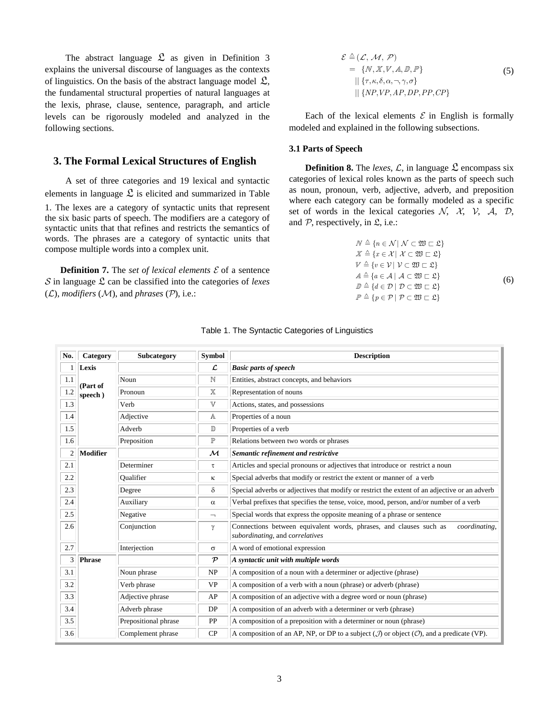The abstract language  $\mathfrak{L}$  as given in Definition 3 explains the universal discourse of languages as the contexts of linguistics. On the basis of the abstract language model  $\mathfrak{L}$ , the fundamental structural properties of natural languages at the lexis, phrase, clause, sentence, paragraph, and article levels can be rigorously modeled and analyzed in the following sections.

# **3. The Formal Lexical Structures of English**

A set of three categories and 19 lexical and syntactic elements in language  $\mathfrak{L}$  is elicited and summarized in Table 1. The lexes are a category of syntactic units that represent the six basic parts of speech. The modifiers are a category of syntactic units that that refines and restricts the semantics of words. The phrases are a category of syntactic units that compose multiple words into a complex unit.

**Definition 7.** The *set of lexical elements*  $\mathcal{E}$  of a sentence in language L can be classified into the categories of *lexes*  $(L)$ *, modifiers*  $(M)$ *, and phrases*  $(\mathcal{P})$ *, i.e.:* 

$$
\mathcal{E} \triangleq (\mathcal{L}, \mathcal{M}, \mathcal{P})
$$
  
= {*N*, *X*, *V*, *A*, *D*, *P*}  
|| {*τ*, *κ*, *δ*, *α*, *¬*, *γ*, *β*}  
|| {*NP*, *VP*, *AP*, *DP*, *PP*, *CP*}

Each of the lexical elements  $\mathcal E$  in English is formally modeled and explained in the following subsections.

### **3.1 Parts of Speech**

**Definition 8.** The *lexes*,  $\mathcal{L}$ , in language  $\mathcal{L}$  encompass six categories of lexical roles known as the parts of speech such as noun, pronoun, verb, adjective, adverb, and preposition where each category can be formally modeled as a specific set of words in the lexical categories  $N$ ,  $\lambda$ ,  $\lambda$ ,  $\lambda$ ,  $\lambda$ ,  $\mathcal{D}$ , and  $P$ , respectively, in  $\mathfrak{L}$ , i.e.:

$$
N \triangleq \{n \in \mathcal{N} \mid \mathcal{N} \subset \mathfrak{W} \subset \mathfrak{L}\}
$$
  
\n
$$
\mathcal{X} \triangleq \{x \in \mathcal{X} \mid \mathcal{X} \subset \mathfrak{W} \subset \mathfrak{L}\}
$$
  
\n
$$
V \triangleq \{v \in \mathcal{V} \mid \mathcal{V} \subset \mathfrak{W} \subset \mathfrak{L}\}
$$
  
\n
$$
A \triangleq \{a \in \mathcal{A} \mid \mathcal{A} \subset \mathfrak{W} \subset \mathfrak{L}\}
$$
  
\n
$$
\mathcal{D} \triangleq \{d \in \mathcal{D} \mid \mathcal{D} \subset \mathfrak{W} \subset \mathfrak{L}\}
$$
  
\n
$$
\mathcal{P} \triangleq \{p \in \mathcal{P} \mid \mathcal{P} \subset \mathfrak{W} \subset \mathfrak{L}\}
$$
  
\n(6)

| No.          | Category                                                                                                                                       | Subcategory                                                            | <b>Symbol</b>                | <b>Description</b>                                                                                                     |  |  |  |
|--------------|------------------------------------------------------------------------------------------------------------------------------------------------|------------------------------------------------------------------------|------------------------------|------------------------------------------------------------------------------------------------------------------------|--|--|--|
| 1            | Lexis                                                                                                                                          |                                                                        | $\mathcal{L}$                | <b>Basic parts of speech</b>                                                                                           |  |  |  |
| 1.1          | (Part of<br>speech)                                                                                                                            | Noun                                                                   | $\mathbb N$                  | Entities, abstract concepts, and behaviors                                                                             |  |  |  |
| $1.2\,$      |                                                                                                                                                | Pronoun                                                                | $\mathbb X$                  | Representation of nouns                                                                                                |  |  |  |
| 1.3          |                                                                                                                                                | Verb                                                                   | $\mathbb {V}$                | Actions, states, and possessions                                                                                       |  |  |  |
| 1.4          |                                                                                                                                                | Adjective                                                              | $\mathbb{A}$                 | Properties of a noun                                                                                                   |  |  |  |
| 1.5          | Properties of a verb<br>Adverb<br>$\mathbb D$                                                                                                  |                                                                        |                              |                                                                                                                        |  |  |  |
| 1.6          |                                                                                                                                                | Preposition                                                            | $\mathbb P$                  | Relations between two words or phrases                                                                                 |  |  |  |
| $\mathbf{2}$ | <b>Modifier</b>                                                                                                                                |                                                                        | $\mathcal M$                 | Semantic refinement and restrictive                                                                                    |  |  |  |
| 2.1          |                                                                                                                                                | Determiner                                                             | τ                            | Articles and special pronouns or adjectives that introduce or restrict a noun                                          |  |  |  |
| 2.2          |                                                                                                                                                | Special adverbs that modify or restrict the extent or manner of a verb |                              |                                                                                                                        |  |  |  |
| 2.3          |                                                                                                                                                | Degree                                                                 | δ                            | Special adverbs or adjectives that modify or restrict the extent of an adjective or an adverb                          |  |  |  |
| 2.4          |                                                                                                                                                | Auxiliary                                                              | $\alpha$                     | Verbal prefixes that specifies the tense, voice, mood, person, and/or number of a verb                                 |  |  |  |
| 2.5          | Negative<br>Conjunction                                                                                                                        |                                                                        | $\qquad \qquad \blacksquare$ | Special words that express the opposite meaning of a phrase or sentence                                                |  |  |  |
| 2.6          |                                                                                                                                                |                                                                        | γ                            | Connections between equivalent words, phrases, and clauses such as<br>coordinating,<br>subordinating, and correlatives |  |  |  |
| 2.7          |                                                                                                                                                | Interjection                                                           | $\sigma$                     | A word of emotional expression                                                                                         |  |  |  |
| 3            | <b>Phrase</b>                                                                                                                                  |                                                                        | $\mathcal{P}$                | $\vert A$ syntactic unit with multiple words                                                                           |  |  |  |
| 3.1          |                                                                                                                                                | Noun phrase                                                            | NP                           | A composition of a noun with a determiner or adjective (phrase)                                                        |  |  |  |
| 3.2          | Verb phrase<br>Adjective phrase<br>Adverb phrase                                                                                               |                                                                        | <b>VP</b>                    | A composition of a verb with a noun (phrase) or adverb (phrase)                                                        |  |  |  |
| 3.3          |                                                                                                                                                |                                                                        | AP                           | A composition of an adjective with a degree word or noun (phrase)                                                      |  |  |  |
| 3.4          |                                                                                                                                                |                                                                        | DP                           | A composition of an adverb with a determiner or verb (phrase)                                                          |  |  |  |
| 3.5          |                                                                                                                                                | Prepositional phrase                                                   | PP                           | A composition of a preposition with a determiner or noun (phrase)                                                      |  |  |  |
| 3.6          | Complement phrase<br>CP<br>A composition of an AP, NP, or DP to a subject ( $\mathcal{J}$ ) or object ( $\mathcal{O}$ ), and a predicate (VP). |                                                                        |                              |                                                                                                                        |  |  |  |

#### Table 1. The Syntactic Categories of Linguistics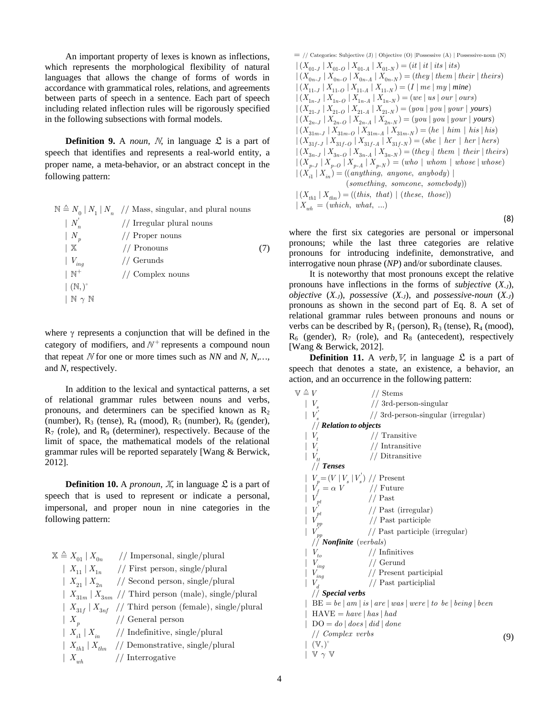An important property of lexes is known as inflections, which represents the morphological flexibility of natural languages that allows the change of forms of words in accordance with grammatical roles, relations, and agreements between parts of speech in a sentence. Each part of speech including related inflection rules will be rigorously specified in the following subsections with formal models.

**Definition 9.** A *noun*,  $N$ , in language  $\mathcal{L}$  is a part of speech that identifies and represents a real-world entity, a proper name, a meta-behavior, or an abstract concept in the following pattern:

| $\mathbb{N} \triangleq N_0   N_1   N_n$ // Mass, singular, and plural nouns |  |  |  |
|-----------------------------------------------------------------------------|--|--|--|
|-----------------------------------------------------------------------------|--|--|--|

| $\mid N$                       | // Irregular plural nouns |     |
|--------------------------------|---------------------------|-----|
| $ N_{p}$                       | // Proper nouns           |     |
| $\mid X$                       | $//$ Pronouns             | (7) |
| $ V_{ing} $                    | // Gerunds                |     |
| $\mathsf{N}^+$                 | $//$ Complex nouns        |     |
| $\mid$ $(N, )^{\dagger}$       |                           |     |
| $\mathbb{N} \gamma \mathbb{N}$ |                           |     |

where  $\gamma$  represents a conjunction that will be defined in the category of modifiers, and  $N^+$  represents a compound noun that repeat  $N$  for one or more times such as  $NN$  and  $N$ ,  $N$ ,... and *N*, respectively.

In addition to the lexical and syntactical patterns, a set of relational grammar rules between nouns and verbs, pronouns, and determiners can be specified known as  $R<sub>2</sub>$ (number),  $R_3$  (tense),  $R_4$  (mood),  $R_5$  (number),  $R_6$  (gender),  $R_7$  (role), and  $R_9$  (determiner), respectively. Because of the limit of space, the mathematical models of the relational grammar rules will be reported separately [Wang & Berwick, 2012].

**Definition 10.** A *pronoun*,  $\mathbb{X}$ , in language  $\mathcal{L}$  is a part of speech that is used to represent or indicate a personal, impersonal, and proper noun in nine categories in the following pattern:

| $X \triangleq X_{01}   X_{0n}$ | // Impersonal, single/plural                               |
|--------------------------------|------------------------------------------------------------|
| $X_{11}$ $X_{1n}$              | // First person, single/plural                             |
|                                | $ X_{21} X_{2n}$ // Second person, single/plural           |
|                                | $ X_{31m} X_{3nm}/$ Third person (male), single/plural     |
|                                | $ X_{31f} X_{3nf}$ // Third person (female), single/plural |
| $\mid X_{n}$                   | $//$ General person                                        |
|                                | $ X_{i1} X_{i2} - //$ Indefinitive, single/plural          |
|                                | $ X_{th1}  X_{thn}$ // Demonstrative, single/plural        |
| $X_{wh}$                       | // Interrogative                                           |

$$
= // \text{ categories: Subjective (J) | Objective (O) | Possessive (A) | Possessive-noun (N) | (X01-J | X01-O | X01-A | X01-N) = (it | it | its | its) | (X0n-J | X0n-O | X0n-A | X0n-N) = (they | them | their | their) | (X11-J | X11-O | X11-A | X11-N) = (I | me | my | mine) | (X1n-J | X1n-O | X1n-A | X1n-N) = (we | us | our | ours) | (X21-J | X21-O | X21-A | X21-N) = (you | you | your | yours) | (X2n-J | X2n-O | X2n-A | X2n-N) = (you | you | your | your) | (X31m-J | X31m-O | X31m-A | X31m-N) = (he | him | his | his) | (X31J-J | X31J-O | X31J-A | X31J-N) = (she | her | her | hers) | (X3n-J | X3n-O | X3n-A | X3n-N) = (they | them | their | their) | (Xp-J | Xp-O | Xp-A | Xp-N) = (who | whom | whose | whose) | (Xij | Xij) = ((anything, anyone, anybody)|) | (something, someone, somebody)) | (Xth1 | Xthn) = ((this, that) | (these, those)) | Xwh = (which, what, ...)
$$
\n(8)

where the first six categories are personal or impersonal pronouns; while the last three categories are relative pronouns for introducing indefinite, demonstrative, and interrogative noun phrase (*NP*) and/or subordinate clauses.

It is noteworthy that most pronouns except the relative pronouns have inflections in the forms of *subjective* (*X-J*), *objective*  $(X_{J})$ , *possessive*  $(X_{J})$ , and *possessive-noun*  $(X_{J})$ pronouns as shown in the second part of Eq. 8. A set of relational grammar rules between pronouns and nouns or verbs can be described by  $R_1$  (person),  $R_3$  (tense),  $R_4$  (mood),  $R_6$  (gender),  $R_7$  (role), and  $R_8$  (antecedent), respectively [Wang & Berwick, 2012].

**Definition 11.** A *verb*,  $V$ , in language  $\mathcal{L}$  is a part of speech that denotes a state, an existence, a behavior, an action, and an occurrence in the following pattern:

| $\mathbb{V} \triangleq V$                        | // Stems                                                      |     |
|--------------------------------------------------|---------------------------------------------------------------|-----|
|                                                  | // 3rd-person-singular                                        |     |
|                                                  | // 3rd-person-singular (irregular)                            |     |
| $//$ Relation to objects                         |                                                               |     |
| $V_t$                                            | // Transitive                                                 |     |
| $\mid V_i$                                       | // Intransitive                                               |     |
| $ V_{tt}$                                        | // Ditransitive                                               |     |
| $//$ Tenses                                      |                                                               |     |
| $V_p = (V   V_s   V_s) //$ Present               |                                                               |     |
| $V_f = \alpha V$ // Future                       |                                                               |     |
| V                                                | $//$ Past                                                     |     |
| $V_{pt}^{\dagger}$                               | // Past (irregular)                                           |     |
| $\begin{array}{c} V_{pp}' \\ V \\ V \end{array}$ | // Past participle                                            |     |
|                                                  | // Past participle (irregular)                                |     |
| // <b>Nonfinite</b> (verbals)                    |                                                               |     |
| $V_{to}$                                         | // Infinitives                                                |     |
| $V_{\mathit{ing}}$                               | // Gerund                                                     |     |
| $V_{ing}$                                        | // Present participial                                        |     |
| $V_d$                                            | // Past participlial                                          |     |
| // Special verbs                                 |                                                               |     |
|                                                  | $BE = be   am   is   are   was   were   to be   being   been$ |     |
| $HAVE = have   has   had$                        |                                                               |     |
| $DO = do   does   did   done$                    |                                                               |     |
| // Complex verbs                                 |                                                               | (9) |
| $(V, )^+$                                        |                                                               |     |
| $\mathbb{V} \gamma \mathbb{V}$                   |                                                               |     |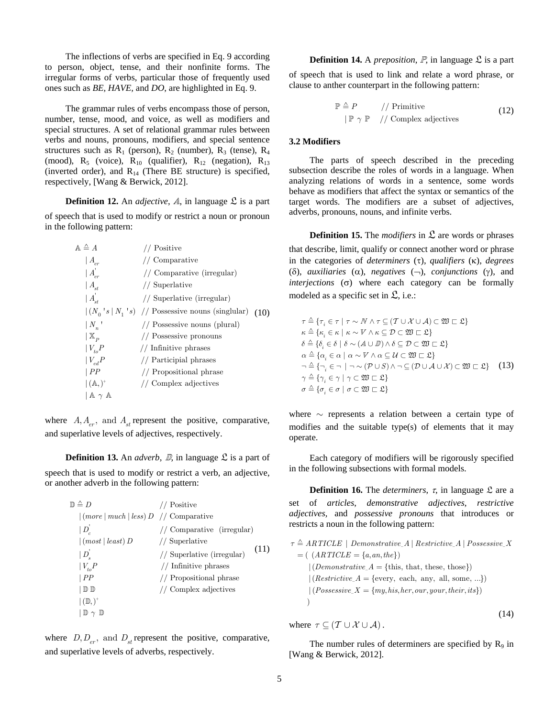The inflections of verbs are specified in Eq. 9 according to person, object, tense, and their nonfinite forms. The irregular forms of verbs, particular those of frequently used ones such as *BE, HAVE,* and *DO*, are highlighted in Eq. 9.

The grammar rules of verbs encompass those of person, number, tense, mood, and voice, as well as modifiers and special structures. A set of relational grammar rules between verbs and nouns, pronouns, modifiers, and special sentence structures such as  $R_1$  (person),  $R_2$  (number),  $R_3$  (tense),  $R_4$ (mood),  $R_5$  (voice),  $R_{10}$  (qualifier),  $R_{12}$  (negation),  $R_{13}$ (inverted order), and  $R_{14}$  (There BE structure) is specified, respectively, [Wang & Berwick, 2012].

**Definition 12.** An *adjective*,  $\mathcal{A}$ , in language  $\mathcal{L}$  is a part of speech that is used to modify or restrict a noun or pronoun

in the following pattern:

| $A \triangleq A$                  | // Positive                                                                                                       |      |
|-----------------------------------|-------------------------------------------------------------------------------------------------------------------|------|
| $ A_{\scriptscriptstyle{er}}$     | // Comparative                                                                                                    |      |
| $ A_{cr}$                         | // Comparative (irregular)                                                                                        |      |
| $ A_{st} $                        | // Superlative                                                                                                    |      |
| $ A_{\scriptscriptstyle st}^{'} $ | // Superlative (irregular)                                                                                        |      |
|                                   | $\left  \left( N_0 \ {}^{\prime} s \   \ N_1 \ {}^{\prime} s \right) \right  / \rho$ Possessive nouns (singlular) | (10) |
| $ N_{n} $                         | // Possessive nouns (plural)                                                                                      |      |
| $\vert$ X <sub>p</sub>            | // Possessive pronouns                                                                                            |      |
| $V_{to}P$                         | // Infinitive phrases                                                                                             |      |
| $ V_{ed}P$                        | // Participial phrases                                                                                            |      |
| PP                                | // Propositional phrase                                                                                           |      |
| $(A, )^+$                         | // Complex adjectives                                                                                             |      |
| $A \gamma A$                      |                                                                                                                   |      |
|                                   |                                                                                                                   |      |

where  $A, A_{er}$ , and  $A_{st}$  represent the positive, comparative, and superlative levels of adjectives, respectively.

**Definition 13.** An *adverb*,  $\mathbb{D}$ , in language  $\mathcal{L}$  is a part of speech that is used to modify or restrict a verb, an adjective, or another adverb in the following pattern:

| Positive                                                              |
|-----------------------------------------------------------------------|
| $\lceil (more \rceil much \rceil less) D \rceil / \text{Comparative}$ |
| // Comparative (irregular)                                            |
| // Superlative                                                        |
| (11)<br>// Superlative (irregular)                                    |
| // Infinitive phrases                                                 |
| // Propositional phrase                                               |
| // Complex adjectives                                                 |
|                                                                       |
|                                                                       |
|                                                                       |

where  $D, D_{er}$ , and  $D_{st}$  represent the positive, comparative, and superlative levels of adverbs, respectively.

**Definition 14.** A *preposition*,  $\mathbb{P}$ , in language  $\mathcal{L}$  is a part

of speech that is used to link and relate a word phrase, or clause to anther counterpart in the following pattern:

$$
\mathbb{P} \triangleq P \qquad // \text{Primitive} \tag{12}
$$
\n
$$
|\mathbb{P} \gamma \mathbb{P} \quad // \text{Complex adjectives}
$$

#### **3.2 Modifiers**

The parts of speech described in the preceding subsection describe the roles of words in a language. When analyzing relations of words in a sentence, some words behave as modifiers that affect the syntax or semantics of the target words. The modifiers are a subset of adjectives, adverbs, pronouns, nouns, and infinite verbs.

**Definition 15.** The *modifiers* in  $\mathcal{L}$  are words or phrases that describe, limit, qualify or connect another word or phrase in the categories of *determiners*  $(\tau)$ , *qualifiers*  $(\kappa)$ , *degrees* ( $\delta$ ), *auxiliaries* ( $\alpha$ ), *negatives* ( $\neg$ ), *conjunctions* ( $\gamma$ ), and

 $interjections$   $\sigma$ ) where each category can be formally

modeled as a specific set in  $\mathfrak{L}$ , i.e.:  $\tau \triangleq \{\tau_{i} \in \tau \mid \tau \sim N \wedge \tau \subseteq (\mathcal{T} \cup \mathcal{X} \cup \mathcal{A}) \subset \mathfrak{W} \sqsubset \mathfrak{L}\}\$  $\kappa \triangleq {\kappa \in \kappa \mid \kappa \sim V \land \kappa \subseteq \mathcal{D} \subset \mathfrak{W} \sqsubset \mathfrak{L}}$  $\delta \triangleq \{\delta_i \in \delta \mid \delta \sim (A \cup \mathbb{D}) \wedge \delta \subseteq \mathcal{D} \subset \mathfrak{W} \sqsubset \mathfrak{L}\}\$  $\alpha \triangleq {\alpha_i \in \alpha \mid \alpha \sim \mathbb{V} \land \alpha \subseteq \mathcal{U} \subset \mathfrak{W} \sqsubset \mathfrak{L}}$  $\exists \exists \exists \exists \exists \exists \in \neg \exists \neg \neg (\mathcal{P} \cup S) \land \neg \subseteq (\mathcal{D} \cup \mathcal{A} \cup \mathcal{X}) \subset \mathfrak{W} \sqsubset \mathfrak{L}$  (13)  $\gamma \triangleq \{ \gamma_i \in \gamma \mid \gamma \subset \mathfrak{W} \sqsubset \mathfrak{L} \}$ 

where  $\sim$  represents a relation between a certain type of modifies and the suitable type(s) of elements that it may operate.

Each category of modifiers will be rigorously specified in the following subsections with formal models.

**Definition 16.** The *determiners*,  $\tau$ , in language  $\mathcal{L}$  are a set of *articles*, *demonstrative adjectives*, *restrictive adjectives,* and *possessive pronouns* that introduces or restricts a noun in the following pattern:

 $\tau \triangleq ARTICLE \mid Demonstrateive_A \mid Restrictive_A \mid Possessive_X$  $(Demonstructure_A = \{this, that, these, those\})$  $(Restructive_A = \{every, each, any, all, some, ...\})$  $= ( (ARTICLE = \{a, an, the\})$  $|(Possessive_X = \{my, his, her, our, your, their, its\})$  $\lambda$ (14)

where  $\tau \subseteq (\mathcal{T} \cup \mathcal{X} \cup \mathcal{A})$ .

 $\sigma \triangleq \{\sigma_i \in \sigma \mid \sigma \subset \mathfrak{W} \sqsubset \mathfrak{L}\}\$ 

The number rules of determiners are specified by  $R_9$  in [Wang & Berwick, 2012].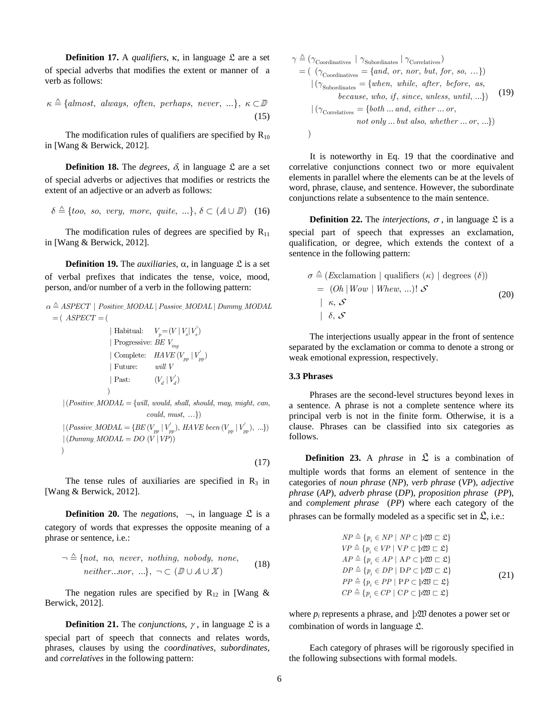**Definition 17.** A *qualifiers*,  $\kappa$ , in language  $\mathcal{L}$  are a set of special adverbs that modifies the extent or manner of a verb as follows:

$$
\kappa \triangleq \{almost, always, often, perhaps, never, ...\}, \ \kappa \subset \mathbb{D}
$$
\n(15)

The modification rules of qualifiers are specified by  $R_{10}$ in [Wang & Berwick, 2012].

**Definition 18.** The *degrees*,  $\delta$ , in language  $\mathcal{L}$  are a set of special adverbs or adjectives that modifies or restricts the extent of an adjective or an adverb as follows:

$$
\delta \triangleq \{ too, so, very, more, quite, ...\}, \delta \subset (A \cup \mathbb{D}) \quad (16)
$$

The modification rules of degrees are specified by  $R_{11}$ in [Wang & Berwick, 2012].

**Definition 19.** The *auxiliaries*,  $\alpha$ , in language  $\mathcal{L}$  is a set of verbal prefixes that indicates the tense, voice, mood, person, and/or number of a verb in the following pattern:

$$
\alpha \triangleq ASPECT \mid Positive\_MODAL \mid Passive\_MODAL \mid Dummy\_MODAL
$$
  
=  $( ASPECT = ($ 

$$
\mid \text{Habitual:} \quad V_p = (V \mid V_s \mid V_s')
$$
\n
$$
\mid \text{ Progressive: } BE \ V_{ing}
$$
\n
$$
\mid \text{Complete:} \quad HAVE \ (V_{pp} \mid V_{pp})
$$
\n
$$
\mid \text{Future:} \quad \text{will } V
$$
\n
$$
\mid \text{ Past:} \quad \quad (V_d \mid V_d')
$$

 $|(Positive\_MODAL = \{will, would, shall, should, may, might, can,$  $\text{could}, \text{ must}, \ldots)$ 

 $|(Passive\_MODAL = \{ BE \, (V_{pp} \mid V_{pp}^{\prime}), \, HAVE \, been \, (V_{pp} \mid V_{pp}^{\prime}), \, ... \})$  $(Dummy_MODAL = DO (V | VP))$  ) (17)

The tense rules of auxiliaries are specified in  $R_3$  in [Wang & Berwick, 2012].

**Definition 20.** The *negations*,  $\rightarrow$ , in language  $\mathcal{L}$  is a category of words that expresses the opposite meaning of a phrase or sentence, i.e.:

$$
\neg \triangleq \{ not, no, never, nothing, nobody, none, neither...nor, ... \}, \neg \subset (\mathbb{D} \cup A \cup X)
$$
\n(18)

The negation rules are specified by  $R_{12}$  in [Wang & Berwick, 2012].

**Definition 21.** The *conjunctions*,  $\gamma$ , in language  $\mathcal{L}$  is a special part of speech that connects and relates words, phrases, clauses by using the *coordinatives, subordinates,*  and *correlatives* in the following pattern:

$$
\gamma \triangleq (\gamma_{\text{Coordinates}} \mid \gamma_{\text{Subordinates}} \mid \gamma_{\text{Correlatives}})
$$
\n
$$
= (\gamma_{\text{Coordinates}} = \{and, or, nor, but, for, so, ... \})
$$
\n
$$
| (\gamma_{\text{Subordinates}} = \{when, while, after, before, as, because, who, if, since, unless, until, ... \})
$$
\n
$$
| (\gamma_{\text{Correlatives}} = \{both ... and, either ... or, \text{not only ... but also, whether ... or, ... \})
$$
\n
$$
)
$$

 It is noteworthy in Eq. 19 that the coordinative and correlative conjunctions connect two or more equivalent elements in parallel where the elements can be at the levels of word, phrase, clause, and sentence. However, the subordinate conjunctions relate a subsentence to the main sentence.

**Definition 22.** The *interjections*,  $\sigma$ , in language  $\mathcal{L}$  is a special part of speech that expresses an exclamation, qualification, or degree, which extends the context of a sentence in the following pattern:

$$
\sigma \triangleq (Exclamation \mid qualities \kappa) \mid degrees (\delta))
$$
  
= (Oh \mid Wow \mid Whew, ...)! \mathcal{S}  
\mid \kappa, \mathcal{S}  
\mid \delta, \mathcal{S} \tag{20}

The interjections usually appear in the front of sentence separated by the exclamation or comma to denote a strong or weak emotional expression, respectively.

#### **3.3 Phrases**

Phrases are the second-level structures beyond lexes in a sentence. A phrase is not a complete sentence where its principal verb is not in the finite form. Otherwise, it is a clause. Phrases can be classified into six categories as follows.

**Definition 23.** A *phrase* in  $\mathcal{L}$  is a combination of multiple words that forms an element of sentence in the categories of *noun phrase* (*NP*), *verb phrase* (*VP*), *adjective phrase* (*AP*), *adverb phrase* (*DP*), *proposition phrase* (*PP*), and *complement phrase* (*PP*) where each category of the phrases can be formally modeled as a specific set in  $\mathfrak{L}$ , i.e.:

$$
NP \triangleq \{p_i \in NP \mid NP \subset \text{p2D} \sqsubset \mathcal{L}\}
$$
  
\n
$$
VP \triangleq \{p_i \in VP \mid VP \subset \text{p2D} \sqsubset \mathcal{L}\}
$$
  
\n
$$
AP \triangleq \{p_i \in AP \mid AP \subset \text{p2D} \sqsubset \mathcal{L}\}
$$
  
\n
$$
DP \triangleq \{p_i \in DP \mid DP \subset \text{p2D} \sqsubset \mathcal{L}\}
$$
  
\n
$$
PP \triangleq \{p_i \in PP \mid PP \subset \text{p2D} \sqsubset \mathcal{L}\}
$$
  
\n
$$
CP \triangleq \{p_i \in CP \mid PP \subset \text{p2D} \sqsubset \mathcal{L}\}
$$
  
\n
$$
CP \triangleq \{p_i \in CP \mid CP \subset \text{p2D} \sqsubset \mathcal{L}\}
$$
  
\n
$$
(21)
$$

where  $p_i$  represents a phrase, and  $\beta$ *ll* denotes a power set or combination of words in language L.

Each category of phrases will be rigorously specified in the following subsections with formal models.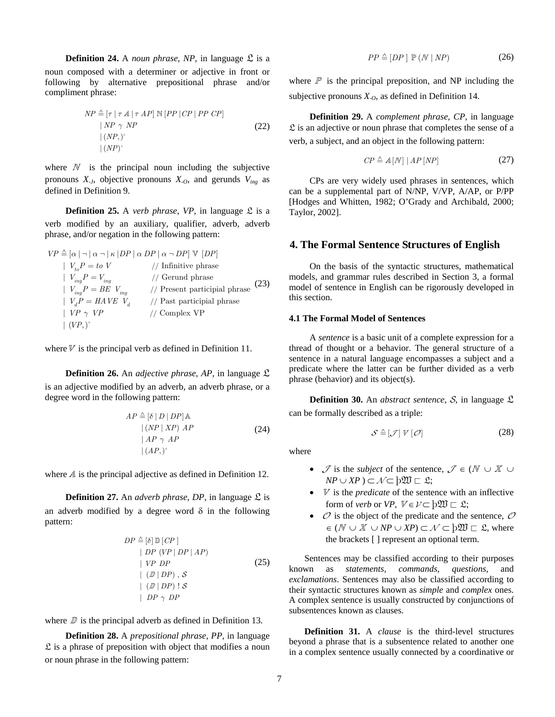**Definition 24.** A *noun phrase*, *NP*, in language  $\mathcal{L}$  is a noun composed with a determiner or adjective in front or following by alternative prepositional phrase and/or compliment phrase:

$$
NP \triangleq [\tau | \tau A | \tau AP] \mathbb{N} [PP | CP | PP \text{ } CP]
$$
  
\n
$$
| NP \gamma NP
$$
  
\n
$$
|(NP,)^{+}
$$
  
\n
$$
|(NP)^{+}
$$
  
\n(22)

where  $N$  is the principal noun including the subjective pronouns  $X_{-J}$ , objective pronouns  $X_{-O}$ , and gerunds  $V_{ing}$  as defined in Definition 9.

**Definition 25.** A *verb phrase*, *VP*, in language  $\mathcal{L}$  is a verb modified by an auxiliary, qualifier, adverb, adverb phrase, and/or negation in the following pattern:

 $\overline{VP} \triangleq [\alpha | \neg | \alpha \neg | \kappa |DP | \alpha DP | \alpha \neg DP] \vee [DP]$ // // //  $V_{\text{t}_p}P = to V$  // Infinitive phrase  $V_{in}P = V_{in}$  // Gerund phrase  $| V_{inc} P = BE V_{inc}$  // Present participial phrase  $\mid V_d P = H A V E V_d$ *to*  $\sum_{ing}$  *ing*  $_{ing}^{i}$  =  $_{DL}^{i}$   $_{i}^{i}$  $V_{ta}P = to V$  $V_{inc}P = V$  $V_{inc}P = BE$  *V* = = = *VP*  $\gamma$  *VP* // Past participial phrase  $| VP \gamma VP$  // Complex VP  $\mid (VP, )^+$ (23)

where  $V$  is the principal verb as defined in Definition 11.

**Definition 26.** An *adjective phrase*, *AP*, in language L is an adjective modified by an adverb, an adverb phrase, or a degree word in the following pattern:

$$
AP \triangleq [\delta | D | DP] \mathbb{A}
$$
  
\n
$$
|(NP | XP) AP
$$
  
\n
$$
| AP \gamma AP
$$
  
\n
$$
|(AP)^{+}
$$
\n(24)

where  $\Lambda$  is the principal adjective as defined in Definition 12.

**Definition 27.** An *adverb phrase*, *DP*, in language  $\mathcal{L}$  is an adverb modified by a degree word  $\delta$  in the following pattern:

$$
DP \triangleq [\delta] \mathbb{D} [CP]
$$
  
\n
$$
| DP (VP | DP | AP)
$$
  
\n
$$
| VP DP
$$
  
\n
$$
| (\mathbb{D} | DP) , S
$$
  
\n
$$
| (\mathbb{D} | DP) | S
$$
  
\n
$$
| DP \gamma DP
$$

where  $\mathbb D$  is the principal adverb as defined in Definition 13.

**Definition 28.** A *prepositional phrase*, *PP*, in language  $\mathfrak L$  is a phrase of preposition with object that modifies a noun or noun phrase in the following pattern:

$$
PP \triangleq [DP] \mathbb{P}(N \mid NP) \tag{26}
$$

where  $\mathbb P$  is the principal preposition, and NP including the subjective pronouns  $X_{0}$ , as defined in Definition 14.

**Definition 29.** A *complement phrase*, *CP*, in language  $\mathfrak L$  is an adjective or noun phrase that completes the sense of a verb, a subject, and an object in the following pattern:

$$
CP \triangleq A[N] | AP[NP]
$$
 (27)

CPs are very widely used phrases in sentences, which can be a supplemental part of N/NP, V/VP, A/AP, or P/PP [Hodges and Whitten, 1982; O'Grady and Archibald, 2000; Taylor, 2002].

# **4. The Formal Sentence Structures of English**

On the basis of the syntactic structures, mathematical models, and grammar rules described in Section 3, a formal model of sentence in English can be rigorously developed in this section.

#### **4.1 The Formal Model of Sentences**

A *sentence* is a basic unit of a complete expression for a thread of thought or a behavior. The general structure of a sentence in a natural language encompasses a subject and a predicate where the latter can be further divided as a verb phrase (behavior) and its object(s).

**Definition 30.** An *abstract sentence*,  $S$ , in language  $\mathcal{L}$ can be formally described as a triple:

$$
S \triangleq [\mathcal{J}] \ V [\mathcal{O}] \tag{28}
$$

where

- $\mathcal{J}$  is the *subject* of the sentence,  $\mathcal{J} \in (\mathbb{N} \cup \mathbb{X} \cup \mathbb{N})$  $NP \cup XP$  )  $\subset \mathcal{N} \subset b\mathfrak{W} \subset \mathfrak{L}$ ;
- $\bullet$  *V* is the *predicate* of the sentence with an inflective form of *verb* or *VP*,  $V \in \mathcal{V} \subset \mathrm{b} \mathfrak{W} \subset \mathfrak{L}$ ;
- $\mathcal O$  is the object of the predicate and the sentence,  $\mathcal O$  $\in (N \cup \mathbb{X} \cup NP \cup XP) \subset \mathcal{N} \subset \varphi \mathfrak{W} \subset \mathfrak{L}$ , where the brackets [ ] represent an optional term.

Sentences may be classified according to their purposes known as *statements, commands, questions,* and *exclamations*. Sentences may also be classified according to their syntactic structures known as *simple* and *complex* ones. A complex sentence is usually constructed by conjunctions of subsentences known as clauses.

**Definition 31.** A *clause* is the third-level structures beyond a phrase that is a subsentence related to another one in a complex sentence usually connected by a coordinative or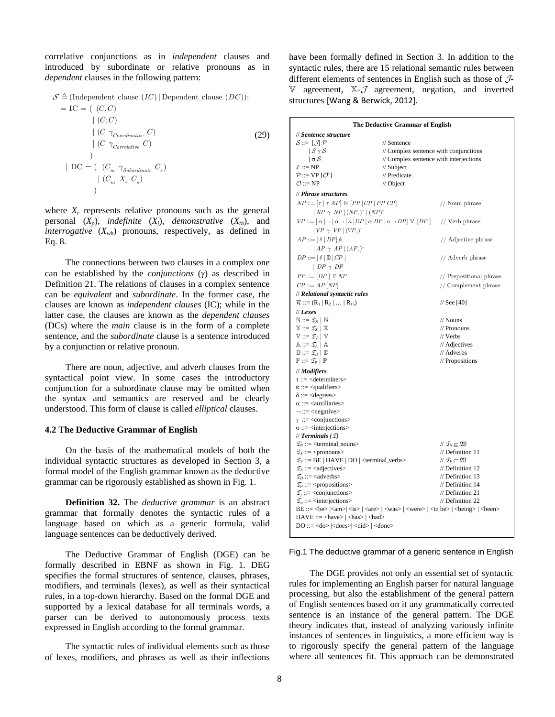correlative conjunctions as in *independent* clauses and introduced by subordinate or relative pronouns as in *dependent* clauses in the following pattern:

$$
\mathcal{S} \triangleq \text{(Independent\_clause } (IC) | Dependent\_clause (DC)):\n= IC = ( (C, C)\n | (C; C)\n | (C \gamma_{Coordinate} C)\n | (C \gamma_{Correlative} C)\n | (C \gamma_{Correlative} C)\n)\n\text{(DO = ( } (C_m \gamma_{Subordinate} C_s)\n | (C_m X_r C_s)\n)
$$

where  $X<sub>r</sub>$  represents relative pronouns such as the general personal  $(X_p)$ , *indefinite*  $(X_i)$ , *demonstrative*  $(X_{th})$ , and *interrogative*  $(X_{wh})$  pronouns, respectively, as defined in Eq. 8.

The connections between two clauses in a complex one can be established by the *conjunctions*  $(y)$  as described in Definition 21. The relations of clauses in a complex sentence can be *equivalent* and *subordinate*. In the former case, the clauses are known as *independent clauses* (IC); while in the latter case, the clauses are known as the *dependent clauses*  (DCs) where the *main* clause is in the form of a complete sentence, and the *subordinate* clause is a sentence introduced by a conjunction or relative pronoun.

There are noun, adjective, and adverb clauses from the syntactical point view. In some cases the introductory conjunction for a subordinate clause may be omitted when the syntax and semantics are reserved and be clearly understood. This form of clause is called *elliptical* clauses.

#### **4.2 The Deductive Grammar of English**

On the basis of the mathematical models of both the individual syntactic structures as developed in Section 3, a formal model of the English grammar known as the deductive grammar can be rigorously established as shown in Fig. 1.

**Definition 32.** The *deductive grammar* is an abstract grammar that formally denotes the syntactic rules of a language based on which as a generic formula, valid language sentences can be deductively derived.

The Deductive Grammar of English (DGE) can be formally described in EBNF as shown in Fig. 1. DEG specifies the formal structures of sentence, clauses, phrases, modifiers, and terminals (lexes), as well as their syntactical rules, in a top-down hierarchy. Based on the formal DGE and supported by a lexical database for all terminals words, a parser can be derived to autonomously process texts expressed in English according to the formal grammar.

The syntactic rules of individual elements such as those of lexes, modifiers, and phrases as well as their inflections

have been formally defined in Section 3. In addition to the syntactic rules, there are 15 relational semantic rules between different elements of sentences in English such as those of  $J$ - $\mathbb V$  agreement,  $\mathbb X$ - $\mathcal J$  agreement, negation, and inverted structures [Wang & Berwick, 2012].

| The Deductive Grammar of English                                                                                                                  |                                           |                                           |  |  |  |  |  |
|---------------------------------------------------------------------------------------------------------------------------------------------------|-------------------------------------------|-------------------------------------------|--|--|--|--|--|
| // Sentence structure                                                                                                                             |                                           |                                           |  |  |  |  |  |
| $S ::= [\mathcal{J}] \mathcal{P}$                                                                                                                 | // Sentence                               |                                           |  |  |  |  |  |
| $\mathcal{S} \gamma \mathcal{S}$                                                                                                                  |                                           | // Complex sentence with conjunctions     |  |  |  |  |  |
| $\sigma$                                                                                                                                          | // Complex sentence with interjections    |                                           |  |  |  |  |  |
| $J ::= NP$                                                                                                                                        | // Subject                                |                                           |  |  |  |  |  |
| $P ::= VP [O^+]$                                                                                                                                  | // Predicate                              |                                           |  |  |  |  |  |
| $\mathcal{O} ::= NP$                                                                                                                              | // Object                                 |                                           |  |  |  |  |  |
| // Phrase structures                                                                                                                              |                                           |                                           |  |  |  |  |  |
| $NP ::= [\tau   \tau AP] \mathbb{N} [PP   CP   PP \text{ } CP]$                                                                                   |                                           | // Noun phrase                            |  |  |  |  |  |
| $\mid NP \gamma NP \mid (NP, )^+ \mid (NP)^+$                                                                                                     |                                           |                                           |  |  |  |  |  |
| $VP ::= [\alpha   \neg   \alpha \neg   \kappa   DP   \alpha DP   \alpha \neg DP] \vee [DP]$ // Verb phrase                                        |                                           |                                           |  |  |  |  |  |
| $  VP \gamma VP   (VP, )^+$                                                                                                                       |                                           |                                           |  |  |  |  |  |
|                                                                                                                                                   |                                           |                                           |  |  |  |  |  |
| $AP ::= [\delta   DP]$ A                                                                                                                          |                                           | // Adjective phrase                       |  |  |  |  |  |
| $\vert AP \gamma AP \vert (AP, )^*$                                                                                                               |                                           |                                           |  |  |  |  |  |
| $DP ::= [\delta] \mathbb{D} [CP]$                                                                                                                 |                                           | // Adverb phrase                          |  |  |  |  |  |
| $\mid DP \; \gamma \; DP$                                                                                                                         |                                           |                                           |  |  |  |  |  |
| $PP ::= [DP] \mathbb{P} NP$                                                                                                                       |                                           | // Prepositional phrase                   |  |  |  |  |  |
| $CP ::= AP[NP]$                                                                                                                                   |                                           | // Complement phrase                      |  |  |  |  |  |
| // Relational syntactic rules                                                                                                                     |                                           |                                           |  |  |  |  |  |
| $\mathcal{R} ::= (R_1   R_2   \dots   R_{15})$                                                                                                    |                                           | $\frac{1}{8}$ See [40]                    |  |  |  |  |  |
| $  $ Lexes                                                                                                                                        |                                           |                                           |  |  |  |  |  |
| $\mathbb{N} ::= \mathcal{I}_N \mid \mathbb{N}$                                                                                                    |                                           | // Nouns                                  |  |  |  |  |  |
| $\mathbb{X} ::= \mathcal{I}_X \mid \mathbb{X}$                                                                                                    | // Pronouns                               |                                           |  |  |  |  |  |
| $\mathbb{V} ::= \mathcal{I}_V   \mathbb{V}$                                                                                                       |                                           | // Verbs                                  |  |  |  |  |  |
| $\mathbb{A} ::= \mathcal{I}_A \mid \mathbb{A}$                                                                                                    | // Adjectives                             |                                           |  |  |  |  |  |
| $\mathbb{D} ::= \mathcal{I}_D   \mathbb{D}$                                                                                                       | // Adverbs                                |                                           |  |  |  |  |  |
| $\mathbb{P} ::= \mathcal{I}_P   \mathbb{P}$                                                                                                       |                                           | // Propositions                           |  |  |  |  |  |
| // Modifiers                                                                                                                                      |                                           |                                           |  |  |  |  |  |
| $\tau ::= \langle determineers \rangle$                                                                                                           |                                           |                                           |  |  |  |  |  |
| $\kappa ::=$ <qualifiers></qualifiers>                                                                                                            |                                           |                                           |  |  |  |  |  |
| $\delta ::= \leq$ degrees                                                                                                                         |                                           |                                           |  |  |  |  |  |
| $\alpha ::=$ <auxiliaries></auxiliaries>                                                                                                          |                                           |                                           |  |  |  |  |  |
| $\neg ::= \le$ negative>                                                                                                                          |                                           |                                           |  |  |  |  |  |
| $\gamma$ ::= <conjunctions></conjunctions>                                                                                                        |                                           |                                           |  |  |  |  |  |
| $\sigma ::=$ <interjections></interjections>                                                                                                      |                                           |                                           |  |  |  |  |  |
| // Terminals $(\mathfrak{T})$                                                                                                                     |                                           |                                           |  |  |  |  |  |
| $\mathcal{T}_N ::= \text{ $                                                                                                                       |                                           | // $\mathcal{I}_N \subseteq \mathfrak{W}$ |  |  |  |  |  |
| $\mathcal{T}_X ::= \langle \text{pronouns} \rangle$                                                                                               |                                           | // Definition 11                          |  |  |  |  |  |
| $\mathcal{I}_V ::= BE \mid HAVE \mid DO \mid \leq \leq v$                                                                                         | // $\mathcal{I}_V \subseteq \mathfrak{W}$ |                                           |  |  |  |  |  |
| $\mathcal{T}_A ::= \langle \text{adjectives} \rangle$                                                                                             | // Definition 12                          |                                           |  |  |  |  |  |
| $\mathcal{T}_D ::=$ <adverbs><br/>// Definition 13</adverbs>                                                                                      |                                           |                                           |  |  |  |  |  |
| // Definition 14<br>$\mathcal{T}_P ::= \text{<*propositions>}$                                                                                    |                                           |                                           |  |  |  |  |  |
| $\mathcal{T}_\gamma ::= \langle \text{conjunctions} \rangle$                                                                                      |                                           | $//$ Definition 21                        |  |  |  |  |  |
| $\mathcal{T}_{\sigma}$ ::= <interjections></interjections>                                                                                        |                                           | // Definition 22                          |  |  |  |  |  |
| BE ::= <be>  <am>  <is>   <are>   <was>   <were>   <to be="">   <br/> <br/>being&gt;   <br/> <br/>been&gt;</to></were></was></are></is></am></be> |                                           |                                           |  |  |  |  |  |
| $HAVE ::= \langle have \rangle   \langle has \rangle   \langle had \rangle$                                                                       |                                           |                                           |  |  |  |  |  |
| $DO ::=   <$ does> $  <$ did> $  <$ done>                                                                                                         |                                           |                                           |  |  |  |  |  |

Fig.1 The deductive grammar of a generic sentence in English

The DGE provides not only an essential set of syntactic rules for implementing an English parser for natural language processing, but also the establishment of the general pattern of English sentences based on it any grammatically corrected sentence is an instance of the general pattern. The DGE theory indicates that, instead of analyzing variously infinite instances of sentences in linguistics, a more efficient way is to rigorously specify the general pattern of the language where all sentences fit. This approach can be demonstrated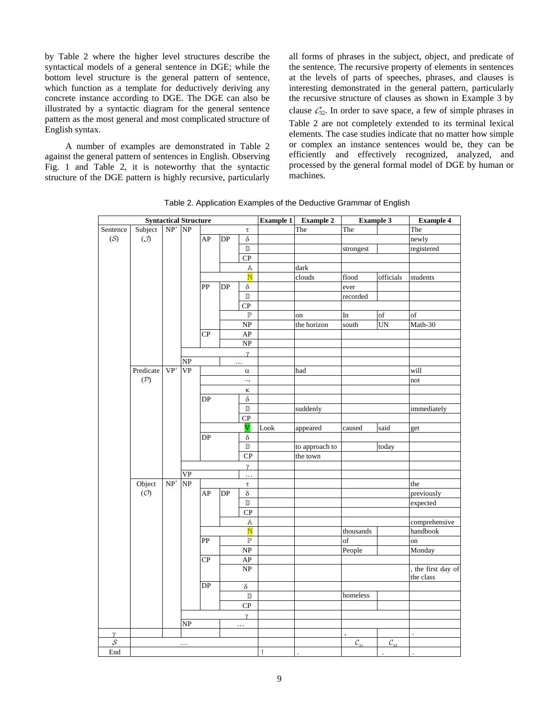by Table 2 where the higher level structures describe the syntactical models of a general sentence in DGE; while the bottom level structure is the general pattern of sentence, which function as a template for deductively deriving any concrete instance according to DGE. The DGE can also be illustrated by a syntactic diagram for the general sentence pattern as the most general and most complicated structure of English syntax.

A number of examples are demonstrated in Table 2 against the general pattern of sentences in English. Observing Fig. 1 and Table 2, it is noteworthy that the syntactic structure of the DGE pattern is highly recursive, particularly all forms of phrases in the subject, object, and predicate of the sentence. The recursive property of elements in sentences at the levels of parts of speeches, phrases, and clauses is interesting demonstrated in the general pattern, particularly the recursive structure of clauses as shown in Example 3 by clause  $\mathcal{C}_{32}$ . In order to save space, a few of simple phrases in Table 2 are not completely extended to its terminal lexical elements. The case studies indicate that no matter how simple or complex an instance sentences would be, they can be efficiently and effectively recognized, analyzed, and processed by the general formal model of DGE by human or machines.

|                | <b>Syntactical Structure</b> |                                       |                        |                 | <b>Example 1</b> | <b>Example 2</b>                  | <b>Example 3</b> |                | <b>Example 4</b>       |                    |                      |
|----------------|------------------------------|---------------------------------------|------------------------|-----------------|------------------|-----------------------------------|------------------|----------------|------------------------|--------------------|----------------------|
| Sentence       | Subject                      | $NP^+$ NP                             |                        |                 |                  | $\tau$                            |                  | The            | The                    |                    | The                  |
| (S)            | $\overline{J}$               |                                       |                        | AP              | DP               | $\delta$                          |                  |                |                        |                    | newly                |
|                |                              |                                       |                        |                 |                  | $\overline{\mathbb{D}}$           |                  |                | strongest              |                    | registered           |
|                |                              |                                       |                        |                 |                  | ${\bf CP}$                        |                  |                |                        |                    |                      |
|                |                              |                                       |                        |                 |                  | $\mathbb A$                       |                  | dark           |                        |                    |                      |
|                |                              |                                       |                        |                 |                  | $\overline{\mathbb{N}}$           |                  | clouds         | $\operatorname{flood}$ | officials          | students             |
|                |                              |                                       |                        | $\overline{PP}$ | DP               | $\delta$                          |                  |                | ever                   |                    |                      |
|                |                              |                                       |                        |                 |                  | $\overline{\mathbb{D}}$           |                  |                | recorded               |                    |                      |
|                |                              |                                       |                        |                 |                  | CP                                |                  |                |                        |                    |                      |
|                |                              |                                       |                        |                 |                  | $\mathbb P$                       |                  | on             | In                     | of                 | of                   |
|                |                              |                                       |                        |                 |                  | $\ensuremath{\mathbf{NP}}\xspace$ |                  | the horizon    | south                  | UN                 | Math-30              |
|                |                              |                                       |                        | CP              |                  | ${\sf AP}$                        |                  |                |                        |                    |                      |
|                |                              |                                       |                        |                 |                  | $\overline{\text{NP}}$            |                  |                |                        |                    |                      |
|                |                              |                                       |                        |                 |                  | $\gamma$                          |                  |                |                        |                    |                      |
|                |                              |                                       | $\overline{\text{NP}}$ |                 |                  | $\cdots$                          |                  |                |                        |                    |                      |
|                | Predicate                    | $\mathbf{V}\mathbf{P}^+$              | <b>VP</b>              |                 |                  | $\alpha$                          |                  | had            |                        |                    | will                 |
|                | $(\mathcal{P})$              |                                       |                        |                 |                  | $\overline{\phantom{0}}$          |                  |                |                        |                    | not                  |
|                |                              |                                       |                        |                 |                  | κ                                 |                  |                |                        |                    |                      |
|                |                              |                                       |                        | DP              |                  | $\delta$                          |                  |                |                        |                    |                      |
|                |                              |                                       |                        |                 |                  | $\mathbb D$                       |                  | suddenly       |                        |                    | immediately          |
|                |                              |                                       |                        |                 |                  | CP                                |                  |                |                        |                    |                      |
|                |                              |                                       |                        |                 |                  | $\mathbb {V}$                     | Look             | appeared       | caused                 | said               | get                  |
|                |                              |                                       |                        | DP              |                  | $\delta$                          |                  |                |                        |                    |                      |
|                |                              |                                       |                        |                 |                  | $\mathbb D$                       |                  | to approach to |                        | today              |                      |
|                |                              |                                       |                        |                 |                  | $\overline{CP}$                   |                  | the town       |                        |                    |                      |
|                |                              |                                       |                        |                 |                  | $\gamma$                          |                  |                |                        |                    |                      |
|                |                              |                                       | VP                     |                 |                  | $\ddotsc$                         |                  |                |                        |                    |                      |
|                | Object                       | $\ensuremath{\mathbf{NP}^{+}}\xspace$ | $\overline{\text{NP}}$ |                 |                  | $\tau$                            |                  |                |                        |                    | the                  |
|                | $(\mathcal{O})$              |                                       |                        | ${\rm AP}$      | DP               | $\delta$                          |                  |                |                        |                    | previously           |
|                |                              |                                       |                        |                 |                  | $\mathbb D$                       |                  |                |                        |                    | expected             |
|                |                              |                                       |                        |                 |                  | $\mathbf{C}\mathbf{P}$            |                  |                |                        |                    |                      |
|                |                              |                                       |                        |                 |                  | Α                                 |                  |                |                        |                    | comprehensive        |
|                |                              |                                       |                        |                 |                  | $\overline{\mathbb{N}}$           |                  |                | thousands              |                    | handbook             |
|                |                              |                                       |                        | PP              |                  | $\mathbb{P}$                      |                  |                | of                     |                    | on                   |
|                |                              |                                       |                        |                 |                  | $\overline{\text{NP}}$            |                  |                | People                 |                    | Monday               |
|                |                              |                                       |                        | CP              |                  | ${\sf AP}$                        |                  |                |                        |                    |                      |
|                |                              |                                       |                        |                 |                  | NP                                |                  |                |                        |                    | , the first day of   |
|                |                              |                                       |                        |                 |                  |                                   |                  |                |                        |                    | the class            |
|                |                              |                                       |                        | DP              |                  | $\delta$                          |                  |                |                        |                    |                      |
|                |                              |                                       |                        |                 |                  | $\mathbb D$                       |                  |                | homeless               |                    |                      |
|                |                              |                                       |                        |                 |                  | ${\bf CP}$                        |                  |                |                        |                    |                      |
|                |                              |                                       |                        |                 | $\gamma$         |                                   |                  |                |                        |                    |                      |
|                |                              |                                       | NP                     |                 |                  | .                                 |                  |                |                        |                    |                      |
| $\gamma$       |                              |                                       |                        |                 |                  |                                   |                  |                |                        |                    |                      |
| $\overline{s}$ |                              |                                       | .                      |                 |                  |                                   |                  |                | $\mathcal{C}_{31}$     | $\mathcal{C}_{32}$ |                      |
| End            |                              |                                       |                        |                 |                  |                                   | Ţ                |                |                        | $\cdot$            | $\ddot{\phantom{a}}$ |

Table 2. Application Examples of the Deductive Grammar of English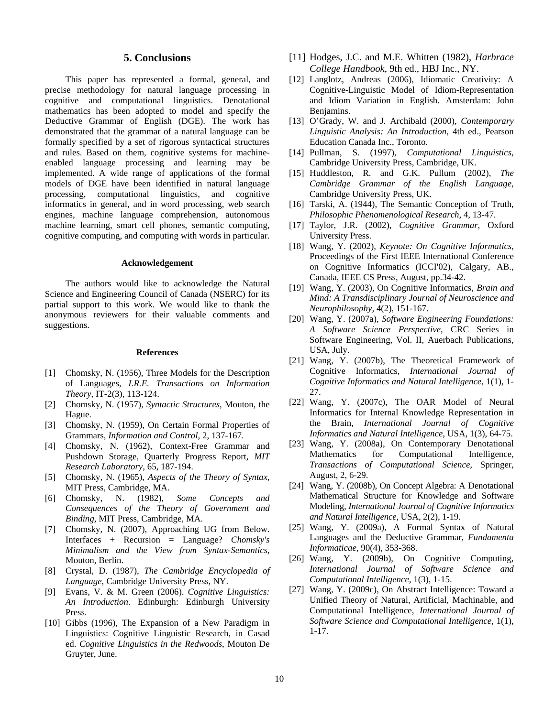### **5. Conclusions**

This paper has represented a formal, general, and precise methodology for natural language processing in cognitive and computational linguistics. Denotational mathematics has been adopted to model and specify the Deductive Grammar of English (DGE). The work has demonstrated that the grammar of a natural language can be formally specified by a set of rigorous syntactical structures and rules. Based on them, cognitive systems for machineenabled language processing and learning may be implemented. A wide range of applications of the formal models of DGE have been identified in natural language processing, computational linguistics, and cognitive informatics in general, and in word processing, web search engines, machine language comprehension, autonomous machine learning, smart cell phones, semantic computing, cognitive computing, and computing with words in particular.

#### **Acknowledgement**

The authors would like to acknowledge the Natural Science and Engineering Council of Canada (NSERC) for its partial support to this work. We would like to thank the anonymous reviewers for their valuable comments and suggestions.

#### **References**

- [1] Chomsky, N. (1956), Three Models for the Description of Languages, *I.R.E. Transactions on Information Theory*, IT-2(3), 113-124.
- [2] Chomsky, N. (1957), *Syntactic Structures*, Mouton, the Hague.
- [3] Chomsky, N. (1959), On Certain Formal Properties of Grammars, *Information and Control,* 2, 137-167.
- [4] Chomsky, N. (1962), Context-Free Grammar and Pushdown Storage, Quarterly Progress Report, *MIT Research Laboratory*, 65, 187-194.
- [5] Chomsky, N. (1965), *Aspects of the Theory of Syntax*, MIT Press, Cambridge, MA.
- [6] Chomsky, N. (1982), *Some Concepts and Consequences of the Theory of Government and Binding*, MIT Press, Cambridge, MA.
- [7] Chomsky, N. (2007), Approaching UG from Below. Interfaces + Recursion = Language? *Chomsky's Minimalism and the View from Syntax-Semantics*, Mouton, Berlin.
- [8] Crystal, D. (1987), *The Cambridge Encyclopedia of Language*, Cambridge University Press, NY.
- [9] Evans, V. & M. Green (2006). *Cognitive Linguistics: An Introduction*. Edinburgh: Edinburgh University Press.
- [10] Gibbs (1996), The Expansion of a New Paradigm in Linguistics: Cognitive Linguistic Research, in Casad ed. *Cognitive Linguistics in the Redwoods*, Mouton De Gruyter, June.
- [11] Hodges, J.C. and M.E. Whitten (1982), *Harbrace College Handbook*, 9th ed., HBJ Inc., NY.
- [12] Langlotz, Andreas (2006), Idiomatic Creativity: A Cognitive-Linguistic Model of Idiom-Representation and Idiom Variation in English. Amsterdam: John Benjamins.
- [13] O'Grady, W. and J. Archibald (2000), *Contemporary Linguistic Analysis: An Introduction*, 4th ed., Pearson Education Canada Inc., Toronto.
- [14] Pullman, S. (1997), *Computational Linguistics*, Cambridge University Press, Cambridge, UK.
- [15] Huddleston, R. and G.K. Pullum (2002), *The Cambridge Grammar of the English Language*, Cambridge University Press, UK.
- [16] Tarski, A. (1944), The Semantic Conception of Truth, *Philosophic Phenomenological Research*, 4, 13-47.
- [17] Taylor, J.R. (2002), *Cognitive Grammar*, Oxford University Press.
- [18] Wang, Y. (2002), *Keynote: On Cognitive Informatics,* Proceedings of the First IEEE International Conference on Cognitive Informatics (ICCI'02), Calgary, AB., Canada, IEEE CS Press, August, pp.34-42.
- [19] Wang, Y. (2003), On Cognitive Informatics, *Brain and Mind: A Transdisciplinary Journal of Neuroscience and Neurophilosophy,* 4(2), 151-167.
- [20] Wang, Y. (2007a), *Software Engineering Foundations: A Software Science Perspective*, CRC Series in Software Engineering, Vol. II, Auerbach Publications, USA, July.
- [21] Wang, Y. (2007b), The Theoretical Framework of Cognitive Informatics, *International Journal of Cognitive Informatics and Natural Intelligence*, 1(1), 1- 27.
- [22] Wang, Y. (2007c), The OAR Model of Neural Informatics for Internal Knowledge Representation in the Brain, *International Journal of Cognitive Informatics and Natural Intelligence*, USA, 1(3), 64-75.
- [23] Wang, Y. (2008a), On Contemporary Denotational Mathematics for Computational Intelligence, *Transactions of Computational Science*, Springer, August, 2, 6-29.
- [24] Wang, Y. (2008b), On Concept Algebra: A Denotational Mathematical Structure for Knowledge and Software Modeling, *International Journal of Cognitive Informatics and Natural Intelligence,* USA, 2(2), 1-19.
- [25] Wang, Y. (2009a), A Formal Syntax of Natural Languages and the Deductive Grammar, *Fundamenta Informaticae*, 90(4), 353-368.
- [26] Wang, Y. (2009b), On Cognitive Computing, *International Journal of Software Science and Computational Intelligence,* 1(3), 1-15.
- [27] Wang, Y. (2009c), On Abstract Intelligence: Toward a Unified Theory of Natural, Artificial, Machinable, and Computational Intelligence, *International Journal of Software Science and Computational Intelligence,* 1(1), 1-17.